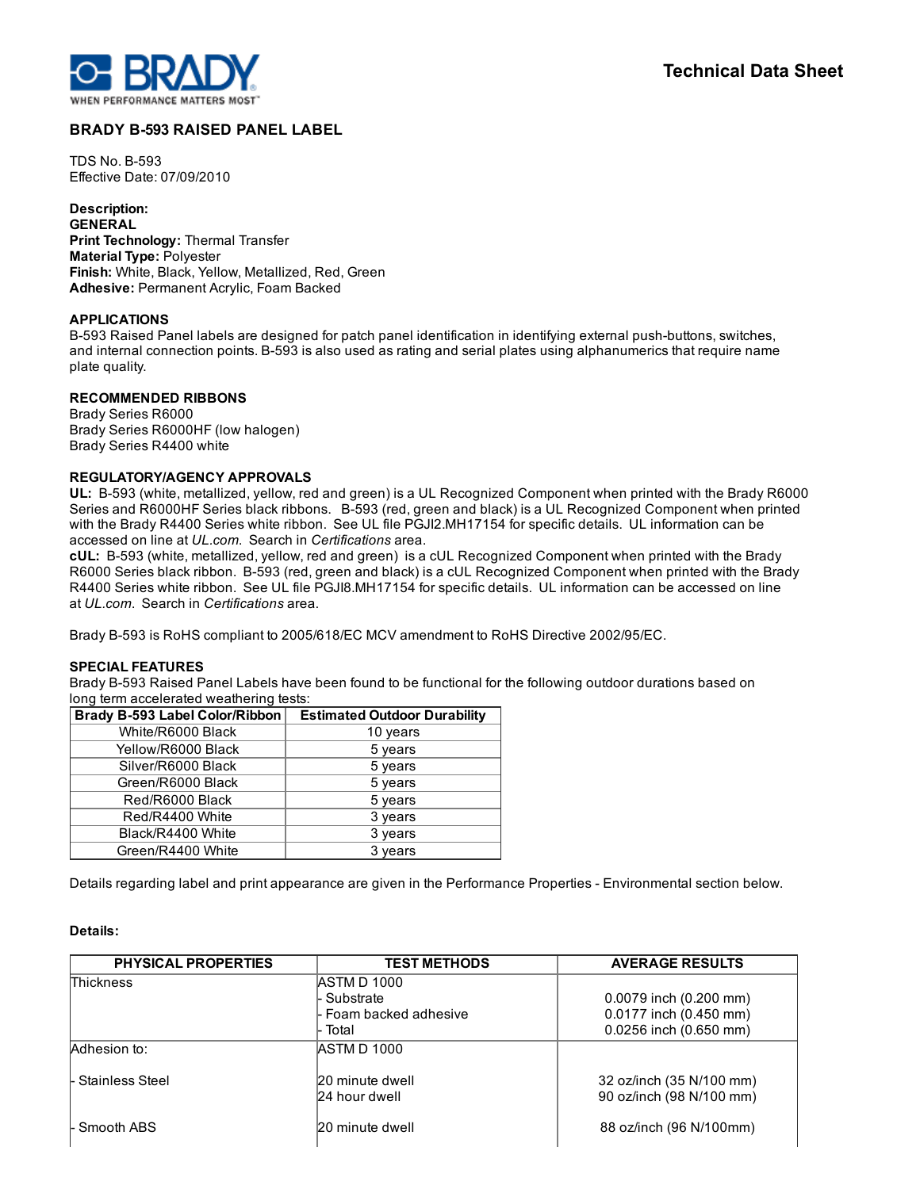

# BRADY B-593 RAISED PANEL LABEL

**TDS No. B-593** Effective Date: 07/09/2010

Description: GENERAL Print Technology: Thermal Transfer Material Type: Polyester Finish: White, Black, Yellow, Metallized, Red, Green Adhesive: Permanent Acrylic, Foam Backed

#### APPLICATIONS

B-593 Raised Panel labels are designed for patch panel identification in identifying external push-buttons, switches, and internal connection points. B-593 is also used as rating and serial plates using alphanumerics that require name plate quality.

## RECOMMENDED RIBBONS

Brady Series R6000 Brady Series R6000HF (low halogen) Brady Series R4400 white

### REGULATORY/AGENCY APPROVALS

UL: B-593 (white, metallized, yellow, red and green) is a UL Recognized Component when printed with the Brady R6000 Series and R6000HF Series black ribbons. B-593 (red, green and black) is a UL Recognized Component when printed with the Brady R4400 Series white ribbon. See UL file PGJI2.MH17154 for specific details. UL information can be accessed on line at *UL.com*. Search in *Certifications* area.

cUL: B593 (white, metallized, yellow, red and green) is a cUL Recognized Component when printed with the Brady R6000 Series black ribbon. B593 (red, green and black) is a cUL Recognized Component when printed with the Brady R4400 Series white ribbon. See UL file PGJI8.MH17154 for specific details. UL information can be accessed on line at *UL.com*. Search in *Certifications* area.

Brady B-593 is RoHS compliant to 2005/618/EC MCV amendment to RoHS Directive 2002/95/EC.

### SPECIAL FEATURES

Brady B-593 Raised Panel Labels have been found to be functional for the following outdoor durations based on long term accelerated weathering tests:

| Brady B-593 Label Color/Ribbon | <b>Estimated Outdoor Durability</b> |
|--------------------------------|-------------------------------------|
| White/R6000 Black              | 10 years                            |
| Yellow/R6000 Black             | 5 years                             |
| Silver/R6000 Black             | 5 years                             |
| Green/R6000 Black              | 5 years                             |
| Red/R6000 Black                | 5 years                             |
| Red/R4400 White                | 3 years                             |
| Black/R4400 White              | 3 years                             |
| Green/R4400 White              | 3 years                             |

Details regarding label and print appearance are given in the Performance Properties - Environmental section below.

### Details:

| <b>PHYSICAL PROPERTIES</b> | <b>TEST METHODS</b>     | <b>AVERAGE RESULTS</b>   |
|----------------------------|-------------------------|--------------------------|
| <b>Thickness</b>           | <b>IASTM D 1000</b>     |                          |
|                            | - Substrate             | 0.0079 inch (0.200 mm)   |
|                            | l- Foam backed adhesive | 0.0177 inch (0.450 mm)   |
|                            | Total                   | 0.0256 inch (0.650 mm)   |
| Adhesion to:               | <b>IASTM D 1000</b>     |                          |
| l- Stainless Steel         | 20 minute dwell         | 32 oz/inch (35 N/100 mm) |
|                            | 24 hour dwell           | 90 oz/inch (98 N/100 mm) |
| l- Smooth ABS              | 20 minute dwell         | 88 oz/inch (96 N/100mm)  |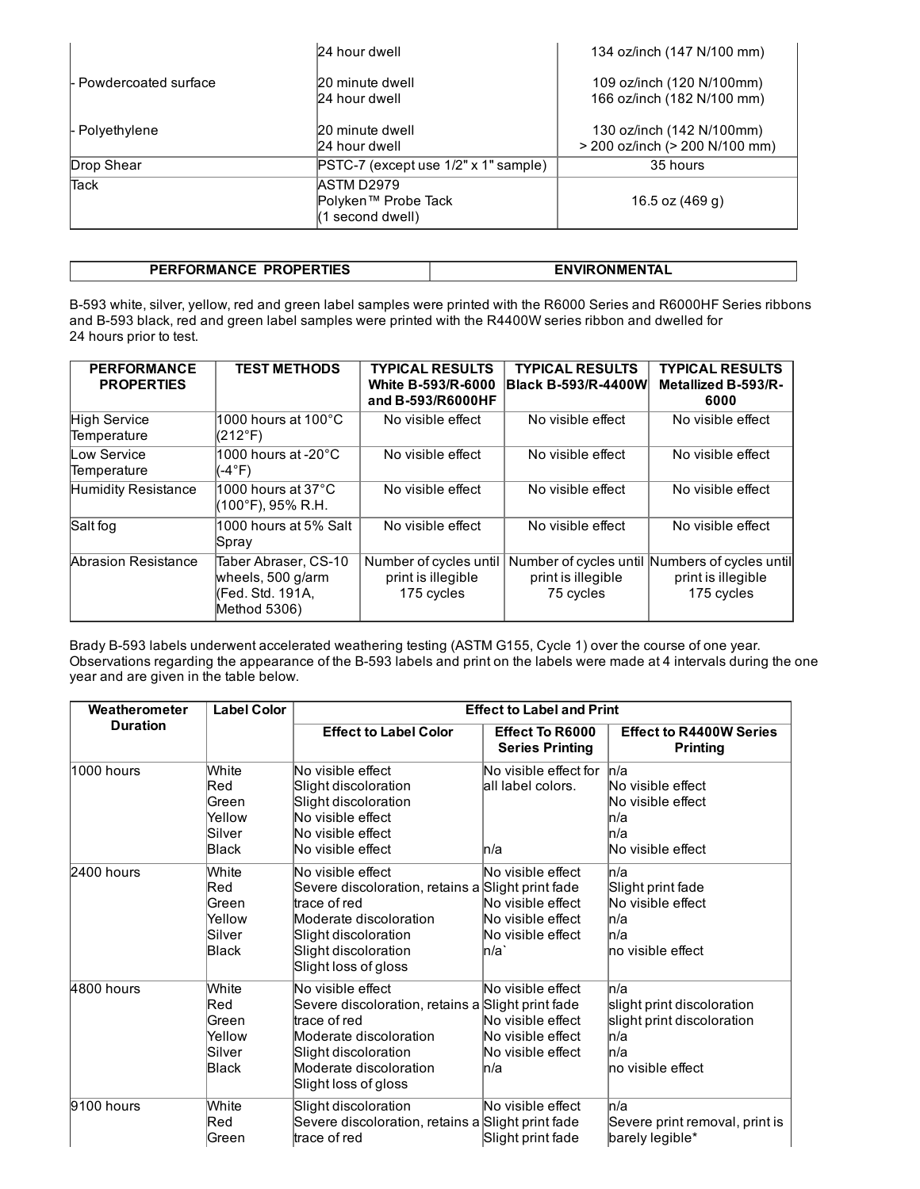|                         | 24 hour dwell                                                  | 134 oz/inch (147 N/100 mm)                                  |
|-------------------------|----------------------------------------------------------------|-------------------------------------------------------------|
| l- Powdercoated surface | 20 minute dwell<br>24 hour dwell                               | 109 oz/inch (120 N/100mm)<br>166 oz/inch (182 N/100 mm)     |
| l- Polvethylene         | 20 minute dwell<br>24 hour dwell                               | 130 oz/inch (142 N/100mm)<br>> 200 oz/inch (> 200 N/100 mm) |
| Drop Shear              | PSTC-7 (except use 1/2" x 1" sample)                           | 35 hours                                                    |
| <b>Tack</b>             | <b>ASTM D2979</b><br>Polyken™ Probe Tack<br>$(1$ second dwell) | 16.5 oz (469 g)                                             |

| PERFORMANCE PROPERTIES | <b>ENVIRONMENTAL</b> |
|------------------------|----------------------|

B-593 white, silver, yellow, red and green label samples were printed with the R6000 Series and R6000HF Series ribbons and B593 black, red and green label samples were printed with the R4400W series ribbon and dwelled for 24 hours prior to test.

| <b>PERFORMANCE</b><br><b>PROPERTIES</b> | <b>TEST METHODS</b>                                                           | <b>TYPICAL RESULTS</b><br><b>White B-593/R-6000</b><br>and B-593/R6000HF | <b>TYPICAL RESULTS</b><br><b>Black B-593/R-4400W</b> | <b>TYPICAL RESULTS</b><br>Metallized B-593/R-<br>6000                              |
|-----------------------------------------|-------------------------------------------------------------------------------|--------------------------------------------------------------------------|------------------------------------------------------|------------------------------------------------------------------------------------|
| High Service<br>Temperature             | $1000$ hours at 100°C.<br>l(212°F)                                            | No visible effect                                                        | No visible effect                                    | No visible effect                                                                  |
| Low Service<br>Temperature              | l1000 hours at -20 $^{\circ}$ C $^{\circ}$<br>(-4°F)                          | No visible effect                                                        | No visible effect                                    | No visible effect                                                                  |
| Humidity Resistance                     | $1000$ hours at 37°C.<br>(100°F), 95% R.H.                                    | No visible effect                                                        | No visible effect                                    | No visible effect                                                                  |
| Salt fog                                | 1000 hours at 5% Salt<br>Spray                                                | No visible effect                                                        | No visible effect                                    | No visible effect                                                                  |
| Abrasion Resistance                     | Taber Abraser, CS-10<br>wheels, 500 g/arm<br>(Fed. Std. 191A,<br>Method 5306) | Number of cycles until<br>print is illegible<br>175 cycles               | print is illegible<br>75 cycles                      | Number of cycles until Numbers of cycles until<br>print is illegible<br>175 cycles |

Brady B-593 labels underwent accelerated weathering testing (ASTM G155, Cycle 1) over the course of one year. Observations regarding the appearance of the B-593 labels and print on the labels were made at 4 intervals during the one year and are given in the table below.

| Weatherometer   | <b>Label Color</b>                                 | <b>Effect to Label and Print</b>                                                                                                                                                           |                                                                                           |                                                                                                       |
|-----------------|----------------------------------------------------|--------------------------------------------------------------------------------------------------------------------------------------------------------------------------------------------|-------------------------------------------------------------------------------------------|-------------------------------------------------------------------------------------------------------|
| <b>Duration</b> |                                                    | <b>Effect to Label Color</b>                                                                                                                                                               | <b>Effect To R6000</b><br><b>Series Printing</b>                                          | <b>Effect to R4400W Series</b><br><b>Printing</b>                                                     |
| 1000 hours      | White<br>Red<br>Green<br>Yellow<br>Silver<br>Black | No visible effect<br>Slight discoloration<br>Slight discoloration<br>No visible effect<br>No visible effect<br>No visible effect                                                           | No visible effect for<br>lall label colors.<br>ln/a                                       | ln/a<br>No visible effect<br>No visible effect<br>ln/a<br>ln/a<br>No visible effect                   |
| 2400 hours      | White<br>Red<br>Green<br>Yellow<br>Silver<br>Black | No visible effect<br>Severe discoloration, retains a Slight print fade<br>trace of red<br>Moderate discoloration<br>Slight discoloration<br>Slight discoloration<br>Slight loss of gloss   | No visible effect<br>No visible effect<br>No visible effect<br>No visible effect<br>ln/a` | ln/a<br>Slight print fade<br>No visible effect<br>ln/a<br>ln/a<br>lno visible effect                  |
| 4800 hours      | White<br>Red<br>Green<br>Yellow<br>Silver<br>Black | No visible effect<br>Severe discoloration, retains a Slight print fade<br>trace of red<br>Moderate discoloration<br>Slight discoloration<br>Moderate discoloration<br>Slight loss of gloss | No visible effect<br>No visible effect<br>No visible effect<br>No visible effect<br>ln/a  | ln/a<br>slight print discoloration<br>slight print discoloration<br>ln/a<br>ln/a<br>no visible effect |
| 9100 hours      | White<br>Red<br> Green                             | Slight discoloration<br>Severe discoloration, retains a Slight print fade<br>trace of red                                                                                                  | No visible effect<br>Slight print fade                                                    | ln/a<br>Severe print removal, print is<br>barely legible*                                             |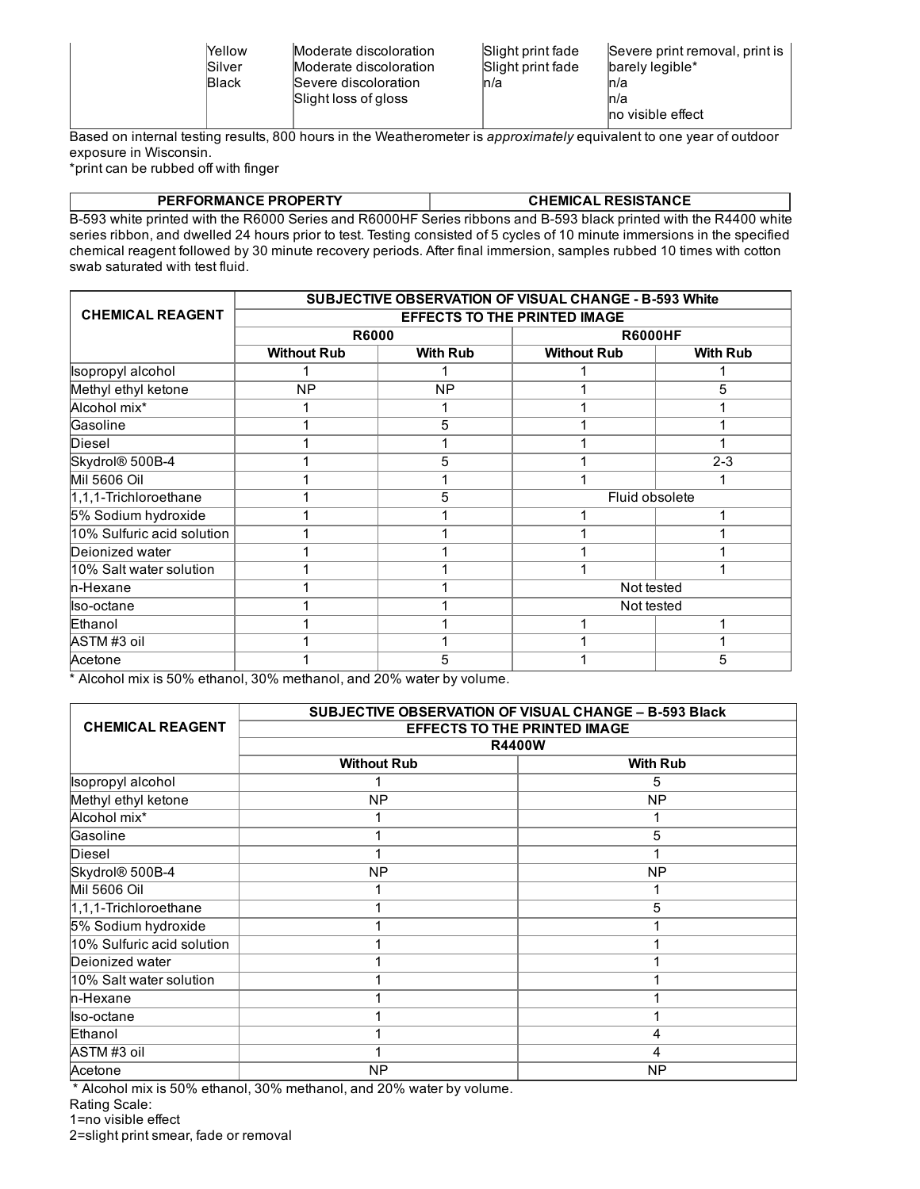| Yellow<br>Silver<br><b>Black</b> | Moderate discoloration<br>Moderate discoloration<br>Severe discoloration<br>ln/a<br>Slight loss of gloss | Slight print fade<br>Severe print removal, print is<br>Slight print fade<br>barely legible*<br>ln/a<br>ln/a<br>no visible effect |
|----------------------------------|----------------------------------------------------------------------------------------------------------|----------------------------------------------------------------------------------------------------------------------------------|
|----------------------------------|----------------------------------------------------------------------------------------------------------|----------------------------------------------------------------------------------------------------------------------------------|

Based on internal testing results, 800 hours in the Weatherometer is *approximately* equivalent to one year of outdoor exposure in Wisconsin.

\*print can be rubbed off with finger

| <b>PERFORMANCE PROPERTY</b> | <b>CHEMICAL RESISTANCE</b> |
|-----------------------------|----------------------------|

B-593 white printed with the R6000 Series and R6000HF Series ribbons and B-593 black printed with the R4400 white series ribbon, and dwelled 24 hours prior to test. Testing consisted of 5 cycles of 10 minute immersions in the specified chemical reagent followed by 30 minute recovery periods. After final immersion, samples rubbed 10 times with cotton swab saturated with test fluid.

|                            | SUBJECTIVE OBSERVATION OF VISUAL CHANGE - B-593 White |                 |                    |                 |
|----------------------------|-------------------------------------------------------|-----------------|--------------------|-----------------|
| <b>CHEMICAL REAGENT</b>    | <b>EFFECTS TO THE PRINTED IMAGE</b>                   |                 |                    |                 |
|                            | <b>R6000</b>                                          |                 | <b>R6000HF</b>     |                 |
|                            | <b>Without Rub</b>                                    | <b>With Rub</b> | <b>Without Rub</b> | <b>With Rub</b> |
| Isopropyl alcohol          |                                                       |                 |                    |                 |
| Methyl ethyl ketone        | <b>NP</b>                                             | <b>NP</b>       |                    | 5               |
| Alcohol mix <sup>*</sup>   |                                                       |                 |                    |                 |
| Gasoline                   |                                                       | 5               |                    |                 |
| Diesel                     |                                                       |                 |                    |                 |
| Skydrol® 500B-4            |                                                       | 5               |                    | $2 - 3$         |
| <b>Mil 5606 Oil</b>        |                                                       |                 |                    |                 |
| 1,1,1-Trichloroethane      |                                                       | 5               | Fluid obsolete     |                 |
| 5% Sodium hydroxide        |                                                       |                 |                    |                 |
| 10% Sulfuric acid solution |                                                       |                 |                    |                 |
| Dejonized water            |                                                       |                 |                    |                 |
| 10% Salt water solution    |                                                       |                 |                    |                 |
| <b>In-Hexane</b>           |                                                       |                 | Not tested         |                 |
| llso-octane                |                                                       |                 | Not tested         |                 |
| Ethanol                    |                                                       |                 |                    |                 |
| ASTM#3 oil                 |                                                       |                 |                    |                 |
| Acetone                    |                                                       | 5               |                    | 5               |

\* Alcohol mix is 50% ethanol, 30% methanol, and 20% water by volume.

|                            | <b>SUBJECTIVE OBSERVATION OF VISUAL CHANGE - B-593 Black</b> |                 |  |
|----------------------------|--------------------------------------------------------------|-----------------|--|
| <b>CHEMICAL REAGENT</b>    | <b>EFFECTS TO THE PRINTED IMAGE</b>                          |                 |  |
|                            |                                                              | <b>R4400W</b>   |  |
|                            | <b>Without Rub</b>                                           | <b>With Rub</b> |  |
| Isopropyl alcohol          |                                                              | 5               |  |
| Methyl ethyl ketone        | <b>NP</b>                                                    | <b>NP</b>       |  |
| Alcohol mix*               |                                                              |                 |  |
| Gasoline                   |                                                              | 5               |  |
| <b>Diesel</b>              |                                                              |                 |  |
| Skydrol® 500B-4            | <b>NP</b>                                                    | <b>NP</b>       |  |
| <b>Mil 5606 Oil</b>        |                                                              |                 |  |
| 1,1,1-Trichloroethane      |                                                              | 5               |  |
| 5% Sodium hydroxide        |                                                              |                 |  |
| 10% Sulfuric acid solution |                                                              |                 |  |
| Deionized water            |                                                              |                 |  |
| 10% Salt water solution    |                                                              |                 |  |
| n-Hexane                   |                                                              |                 |  |
| Iso-octane                 |                                                              |                 |  |
| Ethanol                    |                                                              | 4               |  |
| ASTM#3 oil                 |                                                              | 4               |  |
| Acetone                    | <b>NP</b>                                                    | <b>NP</b>       |  |

\* Alcohol mix is 50% ethanol, 30% methanol, and 20% water by volume.

Rating Scale:

1=no visible effect

2=slight print smear, fade or removal